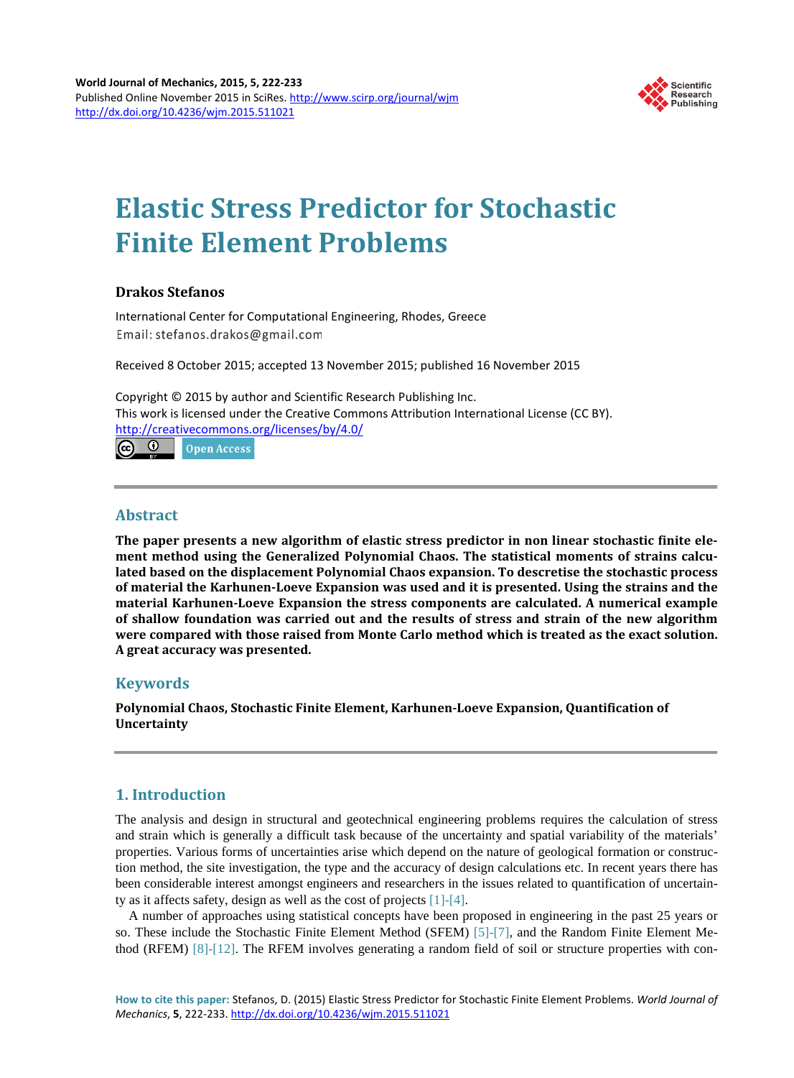

# **Elastic Stress Predictor for Stochastic Finite Element Problems**

## **Drakos Stefanos**

International Center for Computational Engineering, Rhodes, Greece Email: stefanos.drakos@gmail.com

Received 8 October 2015; accepted 13 November 2015; published 16 November 2015

Copyright © 2015 by author and Scientific Research Publishing Inc. This work is licensed under the Creative Commons Attribution International License (CC BY). <http://creativecommons.org/licenses/by/4.0/> <u>ര 0</u> **Open Access** 

## **Abstract**

**The paper presents a new algorithm of elastic stress predictor in non linear stochastic finite element method using the Generalized Polynomial Chaos. The statistical moments of strains calculated based on the displacement Polynomial Chaos expansion. To descretise the stochastic process of material the Karhunen-Loeve Expansion was used and it is presented. Using the strains and the material Karhunen-Loeve Expansion the stress components are calculated. A numerical example of shallow foundation was carried out and the results of stress and strain of the new algorithm were compared with those raised from Monte Carlo method which is treated as the exact solution. A great accuracy was presented.**

## **Keywords**

**Polynomial Chaos, Stochastic Finite Element, Karhunen-Loeve Expansion, Quantification of Uncertainty**

## **1. Introduction**

The analysis and design in structural and geotechnical engineering problems requires the calculation of stress and strain which is generally a difficult task because of the uncertainty and spatial variability of the materials' properties. Various forms of uncertainties arise which depend on the nature of geological formation or construction method, the site investigation, the type and the accuracy of design calculations etc. In recent years there has been considerable interest amongst engineers and researchers in the issues related to quantification of uncertainty as it affects safety, design as well as the cost of projects [\[1\]-](#page-5-0)[\[4\].](#page-5-1)

A number of approaches using statistical concepts have been proposed in engineering in the past 25 years or so. These include the Stochastic Finite Element Method (SFEM) [\[5\]](#page-5-2)[-\[7\],](#page-5-3) and the Random Finite Element Method (RFEM) [\[8\]-](#page-5-4)[\[12\].](#page-6-0) The RFEM involves generating a random field of soil or structure properties with con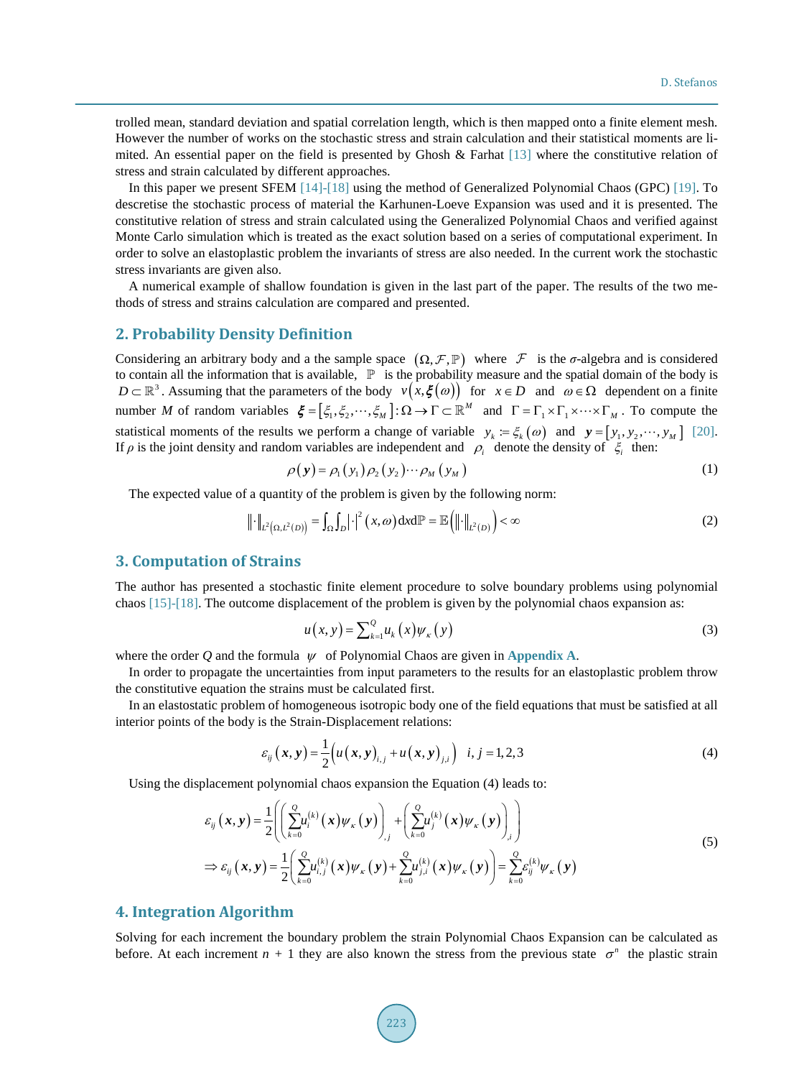trolled mean, standard deviation and spatial correlation length, which is then mapped onto a finite element mesh. However the number of works on the stochastic stress and strain calculation and their statistical moments are limited. An essential paper on the field is presented by Ghosh & Farhat [\[13\]](#page-6-1) where the constitutive relation of stress and strain calculated by different approaches.

In this paper we present SFEM [\[14\]](#page-6-2)[-\[18\]](#page-6-3) using the method of Generalized Polynomial Chaos (GPC) [\[19\].](#page-6-4) To descretise the stochastic process of material the Karhunen-Loeve Expansion was used and it is presented. The constitutive relation of stress and strain calculated using the Generalized Polynomial Chaos and verified against Monte Carlo simulation which is treated as the exact solution based on a series of computational experiment. In order to solve an elastoplastic problem the invariants of stress are also needed. In the current work the stochastic stress invariants are given also.

A numerical example of shallow foundation is given in the last part of the paper. The results of the two methods of stress and strains calculation are compared and presented.

#### **2. Probability Density Definition**

Considering an arbitrary body and a the sample space  $(\Omega, \mathcal{F}, \mathbb{P})$  where  $\mathcal{F}$  is the *σ*-algebra and is considered to contain all the information that is available,  $\mathbb{P}$  is the probability measure and the spat  $D \subset \mathbb{R}^3$ . Assuming that the parameters of the body  $v(x,\xi(\omega))$  for  $x \in D$  and  $\omega \in \Omega$  dependent on a finite number *M* of random variables  $\xi = [\xi_1, \xi_2, \dots, \xi_M] : \Omega \to \Gamma \subset \mathbb{R}^M$  and  $\Gamma = \Gamma_1 \times \Gamma_1 \times \dots \times \Gamma_M$ . To compute the statistical moments of the results we perform a change of variable  $y_k = \xi_k(\omega)$  and  $\mathbf{y} = [y_1, y_2, \dots, y_M]$  [\[20\].](#page-6-5) If  $\rho$  is the joint density and random variables are independent and  $\rho_i$  denote the density of  $\xi_i$  then:

$$
\rho(\mathbf{y}) = \rho_1(y_1)\rho_2(y_2)\cdots\rho_M(y_M)
$$
\n(1)

The expected value of a quantity of the problem is given by the following norm:

$$
\left\| \cdot \right\|_{L^2\left(\Omega, L^2(D)\right)} = \int_{\Omega} \int_{D} \left| \cdot \right|^2 \left( x, \omega \right) \mathrm{d}x \mathrm{d} \mathbb{P} = \mathbb{E} \left( \left\| \cdot \right\|_{L^2(D)} \right) < \infty \tag{2}
$$

#### **3. Computation of Strains**

The author has presented a stochastic finite element procedure to solve boundary problems using polynomial chaos [\[15\]-](#page-6-6)[\[18\].](#page-6-3) The outcome displacement of the problem is given by the polynomial chaos expansion as:

$$
u(x, y) = \sum_{k=1}^{Q} u_k(x) \psi_{\kappa}(y)
$$
 (3)

where the order Q and the formula  $\psi$  of Polynomial Chaos are given in [Appendix A](#page-7-0).

In order to propagate the uncertainties from input parameters to the results for an elastoplastic problem throw the constitutive equation the strains must be calculated first.

In an elastostatic problem of homogeneous isotropic body one of the field equations that must be satisfied at all interior points of the body is the Strain-Displacement relations:

$$
\varepsilon_{ij} (x, y) = \frac{1}{2} \Big( u(x, y)_{i,j} + u(x, y)_{j,i} \Big) \quad i, j = 1, 2, 3 \tag{4}
$$

Using the displacement polynomial chaos expansion the Equation (4) leads to:

$$
\varepsilon_{ij}(\mathbf{x}, \mathbf{y}) = \frac{1}{2} \Biggl( \Biggl( \sum_{k=0}^{\infty} u_i^{(k)}(\mathbf{x}) \psi_{\kappa}(\mathbf{y}) \Biggr)_{,j} + \Biggl( \sum_{k=0}^{\infty} u_j^{(k)}(\mathbf{x}) \psi_{\kappa}(\mathbf{y}) \Biggr)_{,i} \Biggr) \n\Rightarrow \varepsilon_{ij}(\mathbf{x}, \mathbf{y}) = \frac{1}{2} \Biggl( \sum_{k=0}^{\infty} u_{i,j}^{(k)}(\mathbf{x}) \psi_{\kappa}(\mathbf{y}) + \sum_{k=0}^{\infty} u_{j,i}^{(k)}(\mathbf{x}) \psi_{\kappa}(\mathbf{y}) \Biggr) = \sum_{k=0}^{\infty} \varepsilon_{ij}^{(k)} \psi_{\kappa}(\mathbf{y})
$$
\n(5)

#### **4. Integration Algorithm**

Solving for each increment the boundary problem the strain Polynomial Chaos Expansion can be calculated as before. At each increment  $n + 1$  they are also known the stress from the previous state  $\sigma^n$  the plastic strain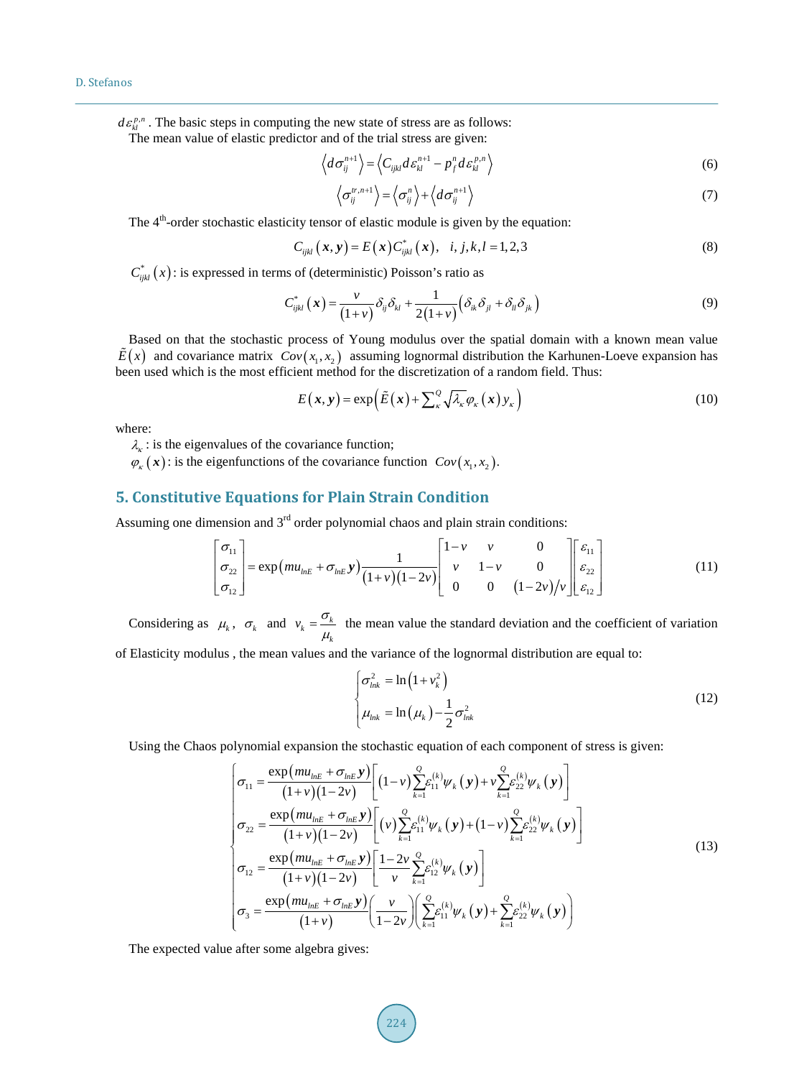$d\varepsilon_k^{p,n}$ . The basic steps in computing the new state of stress are as follows:

The mean value of elastic predictor and of the trial stress are given:

$$
\left\langle d\sigma_{ij}^{n+1} \right\rangle = \left\langle C_{ijkl} d\varepsilon_{kl}^{n+1} - p_j^n d\varepsilon_{kl}^{p,n} \right\rangle \tag{6}
$$

$$
\left\langle \sigma_{ij}^{tr,n+1} \right\rangle = \left\langle \sigma_{ij}^{n} \right\rangle + \left\langle d\sigma_{ij}^{n+1} \right\rangle \tag{7}
$$

The  $4<sup>th</sup>$ -order stochastic elasticity tensor of elastic module is given by the equation:

$$
C_{ijkl}(\mathbf{x}, \mathbf{y}) = E(\mathbf{x}) C_{ijkl}^*(\mathbf{x}), \quad i, j, k, l = 1, 2, 3
$$
 (8)

 $C_{ijkl}^*(x)$ : is expressed in terms of (deterministic) Poisson's ratio as

$$
C_{ijkl}^* \left( \mathbf{x} \right) = \frac{\nu}{\left( 1 + \nu \right)} \delta_{ij} \delta_{kl} + \frac{1}{2 \left( 1 + \nu \right)} \left( \delta_{ik} \delta_{jl} + \delta_{il} \delta_{jk} \right) \tag{9}
$$

Based on that the stochastic process of Young modulus over the spatial domain with a known mean value  $\hat{E}(x)$  and covariance matrix  $Cov(x, x, y)$  assuming lognormal distribution the Karhunen-Loeve expansion has been used which is the most efficient method for the discretization of a random field. Thus:

$$
E(x, y) = \exp\left(\tilde{E}(x) + \sum_{\kappa}^{Q} \sqrt{\lambda_{\kappa}} \varphi_{\kappa}(x) y_{\kappa}\right)
$$
(10)

where:

 $\lambda_k$ : is the eigenvalues of the covariance function;

 $\varphi_{\kappa}(\mathbf{x})$ : is the eigenfunctions of the covariance function  $Cov(x_1, x_2)$ .

## **5. Constitutive Equations for Plain Strain Condition**

Assuming one dimension and  $3<sup>rd</sup>$  order polynomial chaos and plain strain conditions:

$$
\begin{bmatrix} \sigma_{11} \\ \sigma_{22} \\ \sigma_{12} \end{bmatrix} = \exp\left(m u_{\text{ln}E} + \sigma_{\text{ln}E} y\right) \frac{1}{(1+v)(1-2v)} \begin{bmatrix} 1-v & v & 0 \\ v & 1-v & 0 \\ 0 & 0 & (1-2v)/v \end{bmatrix} \begin{bmatrix} \varepsilon_{11} \\ \varepsilon_{22} \\ \varepsilon_{12} \end{bmatrix}
$$
(11)

Considering as  $\mu_k$ ,  $\sigma_k$  and  $v_k = \frac{\sigma_k}{\mu_k}$  $v_k = \frac{\sigma_k}{\mu_k}$  the mean value the standard deviation and the coefficient of variation

of Elasticity modulus , the mean values and the variance of the lognormal distribution are equal to:

$$
\begin{cases}\n\sigma_{lnk}^2 = \ln\left(1 + v_k^2\right) \\
\mu_{lnk} = \ln\left(\mu_k\right) - \frac{1}{2}\sigma_{lnk}^2\n\end{cases}
$$
\n(12)

Using the Chaos polynomial expansion the stochastic equation of each component of stress is given:

$$
\sigma_{11} = \frac{\exp\left(mu_{\text{ln}E} + \sigma_{\text{ln}E}y\right)}{(1+v)(1-2v)} \left[ (1-v)\sum_{k=1}^{Q} \varepsilon_{11}^{(k)} \psi_{k}\left(y\right) + v\sum_{k=1}^{Q} \varepsilon_{22}^{(k)} \psi_{k}\left(y\right) \right] \n\sigma_{22} = \frac{\exp\left(mu_{\text{ln}E} + \sigma_{\text{ln}E}y\right)}{(1+v)(1-2v)} \left[ (v)\sum_{k=1}^{Q} \varepsilon_{11}^{(k)} \psi_{k}\left(y\right) + (1-v)\sum_{k=1}^{Q} \varepsilon_{22}^{(k)} \psi_{k}\left(y\right) \right] \n\sigma_{12} = \frac{\exp\left(mu_{\text{ln}E} + \sigma_{\text{ln}E}y\right)}{(1+v)(1-2v)} \left[ \frac{1-2v}{v}\sum_{k=1}^{Q} \varepsilon_{12}^{(k)} \psi_{k}\left(y\right) \right] \n\sigma_{3} = \frac{\exp\left(mu_{\text{ln}E} + \sigma_{\text{ln}E}y\right)}{(1+v)} \left( \frac{v}{1-2v} \right) \left( \sum_{k=1}^{Q} \varepsilon_{11}^{(k)} \psi_{k}\left(y\right) + \sum_{k=1}^{Q} \varepsilon_{22}^{(k)} \psi_{k}\left(y\right) \right)
$$
\n(13)

The expected value after some algebra gives: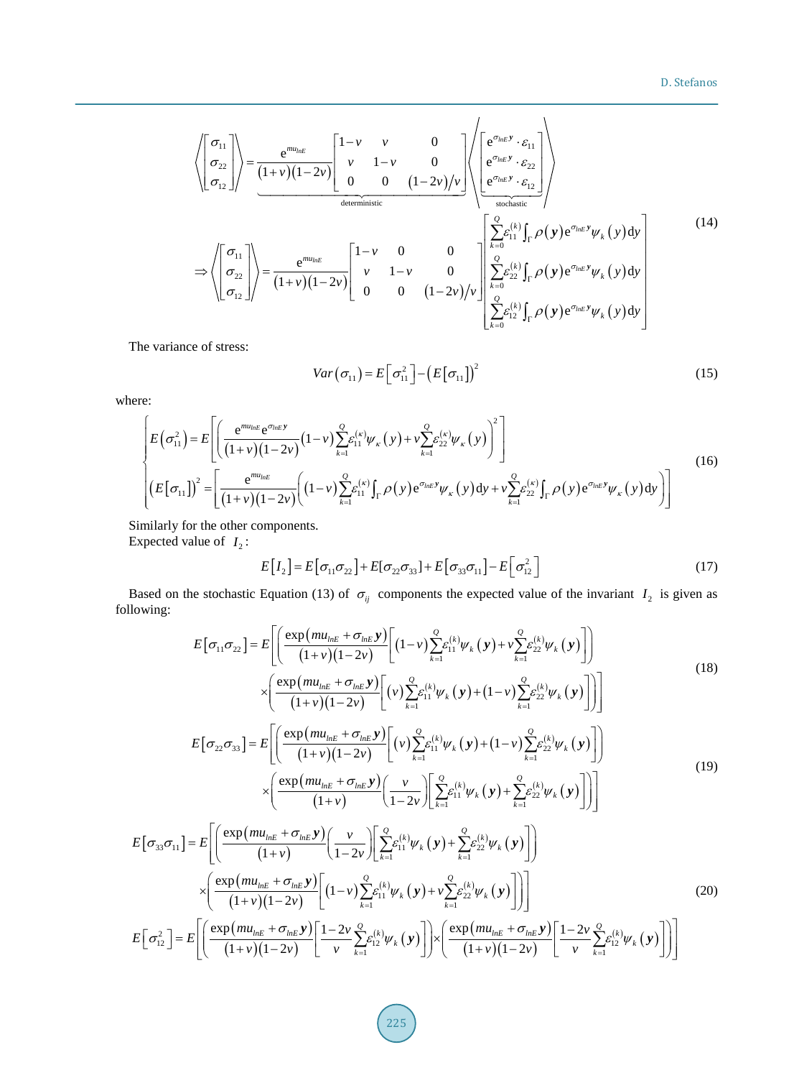$$
\left\langle \begin{bmatrix} \sigma_{11} \\ \sigma_{22} \\ \sigma_{12} \end{bmatrix} \right\rangle = \frac{e^{mu_{lnE}}}{(1+\nu)(1-2\nu)} \begin{bmatrix} 1-\nu & \nu & 0 \\ \nu & 1-\nu & 0 \\ 0 & 0 & (1-2\nu)/\nu \end{bmatrix} \begin{bmatrix} e^{\sigma_{lnE}y} \cdot \varepsilon_{11} \\ e^{\sigma_{lnE}y} \cdot \varepsilon_{22} \\ e^{\sigma_{lnE}y} \cdot \varepsilon_{12} \end{bmatrix} \right\rangle
$$
  
\n
$$
\Rightarrow \left\langle \begin{bmatrix} \sigma_{11} \\ \sigma_{22} \\ \sigma_{12} \end{bmatrix} \right\rangle = \frac{e^{mu_{lnE}}}{(1+\nu)(1-2\nu)} \begin{bmatrix} 1-\nu & 0 & 0 \\ \nu & 1-\nu & 0 \\ 0 & 0 & (1-2\nu)/\nu \end{bmatrix} \begin{bmatrix} \sum_{k=0}^{Q} \varepsilon_{11}^{(k)} \int_{\Gamma} \rho(y) e^{\sigma_{lnE}y} \psi_{k}(y) dy \\ \sum_{k=0}^{Q} \varepsilon_{22}^{(k)} \int_{\Gamma} \rho(y) e^{\sigma_{lnE}y} \psi_{k}(y) dy \\ \sum_{k=0}^{Q} \varepsilon_{12}^{(k)} \int_{\Gamma} \rho(y) e^{\sigma_{lnE}y} \psi_{k}(y) dy \end{bmatrix}
$$
\n(14)

The variance of stress:

$$
Var(\sigma_{11}) = E[\sigma_{11}^2] - (E[\sigma_{11}])^2
$$
\n(15)

where:

$$
\begin{bmatrix} E(\sigma_{11}^{2}) = E\left[ \left( \frac{e^{m u_{lnE}} e^{\sigma_{lnE} y}}{(1+v)(1-2v)} (1-v) \sum_{k=1}^{Q} \varepsilon_{11}^{(\kappa)} \psi_{\kappa}(y) + v \sum_{k=1}^{Q} \varepsilon_{22}^{(\kappa)} \psi_{\kappa}(y) \right)^{2} \right] \\ \left( E[\sigma_{11}] \right)^{2} = \left[ \frac{e^{m u_{lnE}}}{(1+v)(1-2v)} \left( (1-v) \sum_{k=1}^{Q} \varepsilon_{11}^{(\kappa)} \int_{\Gamma} \rho(y) e^{\sigma_{lnE} y} \psi_{\kappa}(y) dy + v \sum_{k=1}^{Q} \varepsilon_{22}^{(\kappa)} \int_{\Gamma} \rho(y) e^{\sigma_{lnE} y} \psi_{\kappa}(y) dy \right) \right] \end{bmatrix}
$$
(16)

Similarly for the other components. Expected value of  $I_2$ :

$$
E[I2] = E[\sigma11\sigma22] + E[\sigma22\sigma33] + E[\sigma33\sigma11] - E[\sigma122]
$$
\n(17)

Based on the stochastic Equation (13) of  $\sigma_{ij}$  components the expected value of the invariant  $I_2$  is given as following:

$$
E[\sigma_{11}\sigma_{22}] = E\left[\frac{\exp\left(mu_{\mu E} + \sigma_{\mu E}y\right)}{(1+v)(1-2v)}\left[(1-v)\sum_{k=1}^{Q}\varepsilon_{11}^{(k)}\psi_{k}\left(y\right) + v\sum_{k=1}^{Q}\varepsilon_{22}^{(k)}\psi_{k}\left(y\right)\right]\right] \times \left(\frac{\exp\left(mu_{\mu E} + \sigma_{\mu E}y\right)}{(1+v)(1-2v)}\left[(v)\sum_{k=1}^{Q}\varepsilon_{11}^{(k)}\psi_{k}\left(y\right) + (1-v)\sum_{k=1}^{Q}\varepsilon_{22}^{(k)}\psi_{k}\left(y\right)\right]\right)\right]
$$
\n
$$
E[\sigma_{22}\sigma_{33}] = E\left[\frac{\exp\left(mu_{\mu E} + \sigma_{\mu E}y\right)}{(1+v)(1-2v)}\left[(v)\sum_{k=1}^{Q}\varepsilon_{11}^{(k)}\psi_{k}\left(y\right) + (1-v)\sum_{k=1}^{Q}\varepsilon_{22}^{(k)}\psi_{k}\left(y\right)\right]\right] \times \left(\frac{\exp\left(mu_{\mu E} + \sigma_{\mu E}y\right)}{(1+v)}\left(\frac{v}{1-2v}\right)\left[\sum_{k=1}^{Q}\varepsilon_{11}^{(k)}\psi_{k}\left(y\right) + \sum_{k=1}^{Q}\varepsilon_{22}^{(k)}\psi_{k}\left(y\right)\right]\right]\right]
$$
\n
$$
E[\sigma_{33}\sigma_{11}] = E\left[\frac{\exp\left(mu_{\mu E} + \sigma_{\mu E}y\right)}{(1+v)}\left(\frac{v}{1-2v}\right)\left[\sum_{k=1}^{Q}\varepsilon_{11}^{(k)}\psi_{k}\left(y\right) + \sum_{k=1}^{Q}\varepsilon_{22}^{(k)}\psi_{k}\left(y\right)\right]\right]
$$
\n
$$
\times \left(\frac{\exp\left(mu_{\mu E} + \sigma_{\mu E}y\right)}{(1+v)(1-2v)}\left[(1-v)\sum_{k=1}^{Q}\varepsilon_{11}^{(k)}\psi_{k}\left(y\right) + v\sum_{k=1}^{Q}\varepsilon_{22}^{(k)}\psi_{k}\left(y\right)\right]\right)\right]
$$
\n(20)

$$
E\left[\sigma_{12}^2\right] = E\left[\left(\frac{\exp\left(m u_{\scriptscriptstyle h\scriptscriptstyle E} + \sigma_{\scriptscriptstyle h\scriptscriptstyle E} y\right)}{(1+v)(1-2v)}\left[\frac{1-2v}{v}\sum_{k=1}^{\mathcal{Q}} \varepsilon_{12}^{(k)} \psi_k\left(y\right)\right]\right) \times \left(\frac{\exp\left(m u_{\scriptscriptstyle h\scriptscriptstyle E} + \sigma_{\scriptscriptstyle h\scriptscriptstyle E} y\right)}{(1+v)(1-2v)}\left[\frac{1-2v}{v}\sum_{k=1}^{\mathcal{Q}} \varepsilon_{12}^{(k)} \psi_k\left(y\right)\right]\right)\right]
$$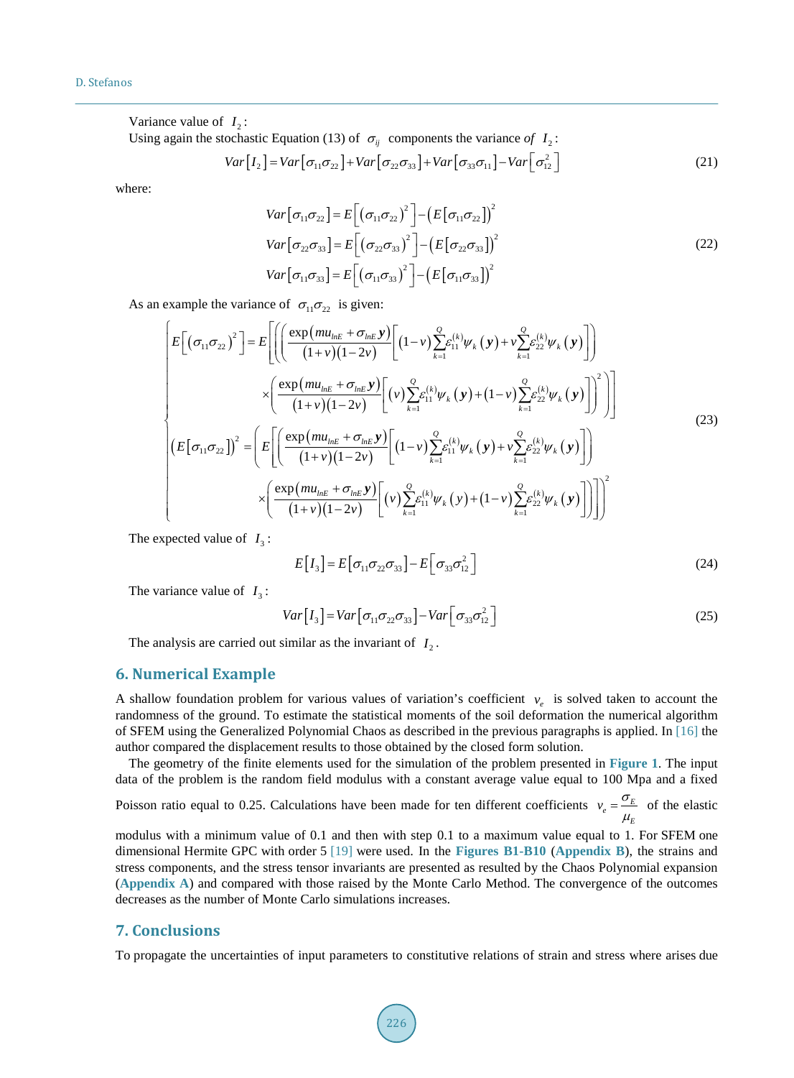Variance value of  $I_2$ :

Using again the stochastic Equation (13) of  $\sigma_{ij}$  components the variance of  $I_2$ :

$$
Var[I_2] = Var[\sigma_{11}\sigma_{22}] + Var[\sigma_{22}\sigma_{33}] + Var[\sigma_{33}\sigma_{11}] - Var[\sigma_{12}^2]
$$
\n(21)

where:

$$
Var[\sigma_{11}\sigma_{22}] = E[(\sigma_{11}\sigma_{22})^{2}] - (E[\sigma_{11}\sigma_{22}])^{2}
$$
  
\n
$$
Var[\sigma_{22}\sigma_{33}] = E[(\sigma_{22}\sigma_{33})^{2}] - (E[\sigma_{22}\sigma_{33}])^{2}
$$
  
\n
$$
Var[\sigma_{11}\sigma_{33}] = E[(\sigma_{11}\sigma_{33})^{2}] - (E[\sigma_{11}\sigma_{33}])^{2}
$$
 (22)

As an example the variance of  $\sigma_{11}\sigma_{22}$  is given:

$$
\begin{bmatrix} E[(\sigma_{11}\sigma_{22})^{2}] = E\left[\left(\frac{\exp\left(mu_{\text{ln}E} + \sigma_{\text{ln}E}\mathbf{y}\right)}{(1+\nu)(1-2\nu)}\left[(1-\nu)\sum_{k=1}^{Q}\varepsilon_{11}^{(k)}\psi_{k}\left(\mathbf{y}\right) + \nu\sum_{k=1}^{Q}\varepsilon_{22}^{(k)}\psi_{k}\left(\mathbf{y}\right)\right]\right) \right] \times \left(\frac{\exp\left(mu_{\text{ln}E} + \sigma_{\text{ln}E}\mathbf{y}\right)}{(1+\nu)(1-2\nu)}\left[(\nu)\sum_{k=1}^{Q}\varepsilon_{11}^{(k)}\psi_{k}\left(\mathbf{y}\right) + (1-\nu)\sum_{k=1}^{Q}\varepsilon_{22}^{(k)}\psi_{k}\left(\mathbf{y}\right)\right]\right)^{2}\right)\right] \times \left[E\left[\sigma_{11}\sigma_{22}\right]\right)^{2} = \left(E\left[\left(\frac{\exp\left(mu_{\text{ln}E} + \sigma_{\text{ln}E}\mathbf{y}\right)}{(1+\nu)(1-2\nu)}\left[(1-\nu)\sum_{k=1}^{Q}\varepsilon_{11}^{(k)}\psi_{k}\left(\mathbf{y}\right) + \nu\sum_{k=1}^{Q}\varepsilon_{22}^{(k)}\psi_{k}\left(\mathbf{y}\right)\right]\right)\right] \times \left(\frac{\exp\left(mu_{\text{ln}E} + \sigma_{\text{ln}E}\mathbf{y}\right)}{(1+\nu)(1-2\nu)}\left[(\nu)\sum_{k=1}^{Q}\varepsilon_{11}^{(k)}\psi_{k}\left(\mathbf{y}\right) + (1-\nu)\sum_{k=1}^{Q}\varepsilon_{22}^{(k)}\psi_{k}\left(\mathbf{y}\right)\right]\right)\right)^{2} \end{bmatrix} \tag{23}
$$

The expected value of  $I_3$ :

$$
E[I3] = E[\sigma11\sigma22\sigma33] - E[\sigma33\sigma122]
$$
\n(24)

The variance value of  $I_3$ :

$$
Var[I3] = Var[\sigma11\sigma22\sigma33] - Var[\sigma33\sigma122]
$$
\n(25)

The analysis are carried out similar as the invariant of  $I_2$ .

## **6. Numerical Example**

A shallow foundation problem for various values of variation's coefficient  $v_e$  is solved taken to account the randomness of the ground. To estimate the statistical moments of the soil deformation the numerical algorithm of SFEM using the Generalized Polynomial Chaos as described in the previous paragraphs is applied. In [\[16\]](#page-6-7) the author compared the displacement results to those obtained by the closed form solution.

The geometry of the finite elements used for the simulation of the problem presented in **[Figure](#page-5-5) 1**. The input data of the problem is the random field modulus with a constant average value equal to 100 Mpa and a fixed Poisson ratio equal to 0.25. Calculations have been made for ten different coefficients  $v_e = \frac{\sigma_E}{\mu_E}$  $v_e = \frac{\sigma_E}{\mu_E}$  of the elastic

modulus with a minimum value of 0.1 and then with step 0.1 to a maximum value equal to 1. For SFEM one dimensional Hermite GPC with order 5 [\[19\]](#page-6-4) were used. In the **[Figures B1-B10](#page-8-0)** (**[Appendix B](#page-8-1)**), the strains and stress components, and the stress tensor invariants are presented as resulted by the Chaos Polynomial expansion (**[Appendix A](#page-7-0)**) and compared with those raised by the Monte Carlo Method. The convergence of the outcomes decreases as the number of Monte Carlo simulations increases.

#### **7. Conclusions**

To propagate the uncertainties of input parameters to constitutive relations of strain and stress where arises due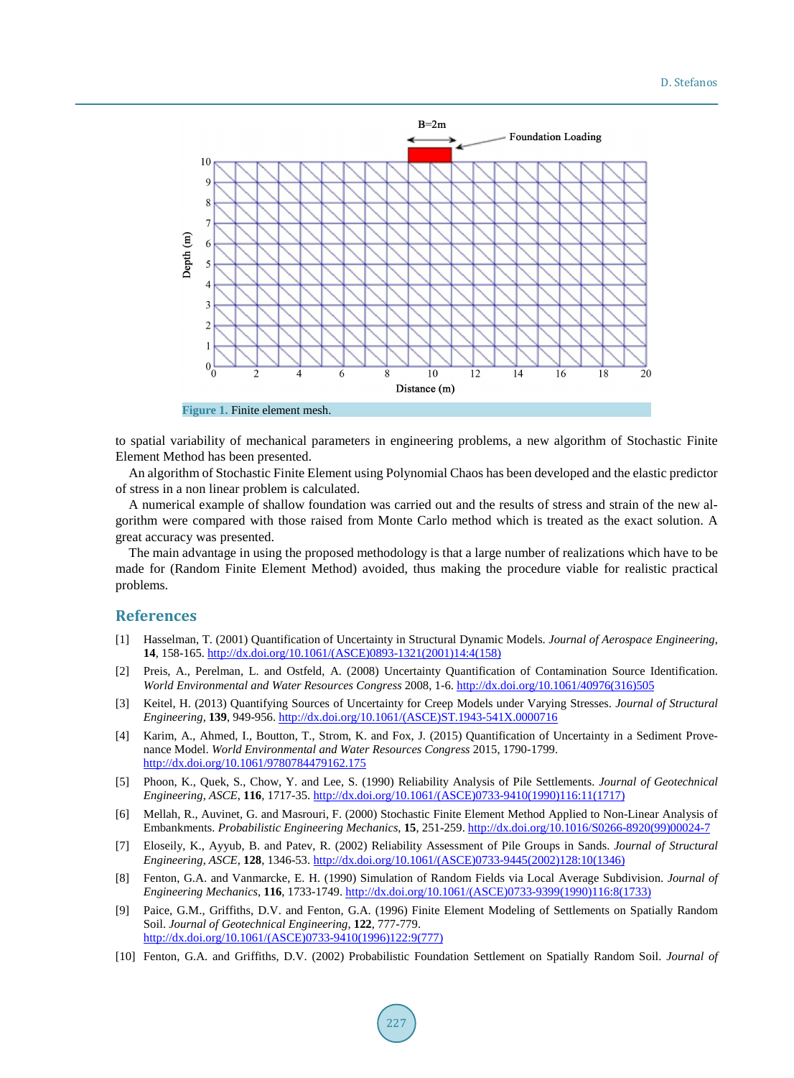<span id="page-5-5"></span>

**Figure 1.** Finite element mesh.

to spatial variability of mechanical parameters in engineering problems, a new algorithm of Stochastic Finite Element Method has been presented.

An algorithm of Stochastic Finite Element using Polynomial Chaos has been developed and the elastic predictor of stress in a non linear problem is calculated.

A numerical example of shallow foundation was carried out and the results of stress and strain of the new algorithm were compared with those raised from Monte Carlo method which is treated as the exact solution. A great accuracy was presented.

The main advantage in using the proposed methodology is that a large number of realizations which have to be made for (Random Finite Element Method) avoided, thus making the procedure viable for realistic practical problems.

## **References**

- <span id="page-5-0"></span>[1] Hasselman, T. (2001) Quantification of Uncertainty in Structural Dynamic Models. *Journal of Aerospace Engineering*, **14**, 158-165. [http://dx.doi.org/10.1061/\(ASCE\)0893-1321\(2001\)14:4\(158\)](http://dx.doi.org/10.1061/(ASCE)0893-1321(2001)14:4(158))
- [2] Preis, A., Perelman, L. and Ostfeld, A. (2008) Uncertainty Quantification of Contamination Source Identification. *World Environmental and Water Resources Congress* 2008, 1-6. [http://dx.doi.org/10.1061/40976\(316\)505](http://dx.doi.org/10.1061/40976(316)505)
- [3] Keitel, H. (2013) Quantifying Sources of Uncertainty for Creep Models under Varying Stresses. *Journal of Structural Engineering*, **139**, 949-956. [http://dx.doi.org/10.1061/\(ASCE\)ST.1943-541X.0000716](http://dx.doi.org/10.1061/(ASCE)ST.1943-541X.0000716)
- <span id="page-5-1"></span>[4] Karim, A., Ahmed, I., Boutton, T., Strom, K. and Fox, J. (2015) Quantification of Uncertainty in a Sediment Provenance Model. *World Environmental and Water Resources Congress* 2015, 1790-1799. <http://dx.doi.org/10.1061/9780784479162.175>
- <span id="page-5-2"></span>[5] Phoon, K., Quek, S., Chow, Y. and Lee, S. (1990) Reliability Analysis of Pile Settlements. *Journal of Geotechnical Engineering*, *ASCE*, **116**, 1717-35. [http://dx.doi.org/10.1061/\(ASCE\)0733-9410\(1990\)116:11\(1717\)](http://dx.doi.org/10.1061/(ASCE)0733-9410(1990)116:11(1717))
- [6] Mellah, R., Auvinet, G. and Masrouri, F. (2000) Stochastic Finite Element Method Applied to Non-Linear Analysis of Embankments. *Probabilistic Engineering Mechanics*, **15**, 251-259. [http://dx.doi.org/10.1016/S0266-8920\(99\)00024-7](http://dx.doi.org/10.1016/S0266-8920(99)00024-7)
- <span id="page-5-3"></span>[7] Eloseily, K., Ayyub, B. and Patev, R. (2002) Reliability Assessment of Pile Groups in Sands. *Journal of Structural Engineering*, *ASCE*, **128**, 1346-53. [http://dx.doi.org/10.1061/\(ASCE\)0733-9445\(2002\)128:10\(1346\)](http://dx.doi.org/10.1061/(ASCE)0733-9445(2002)128:10(1346))
- <span id="page-5-4"></span>[8] Fenton, G.A. and Vanmarcke, E. H. (1990) Simulation of Random Fields via Local Average Subdivision. *Journal of Engineering Mechanics*, **116**, 1733-1749. [http://dx.doi.org/10.1061/\(ASCE\)0733-9399\(1990\)116:8\(1733\)](http://dx.doi.org/10.1061/(ASCE)0733-9399(1990)116:8(1733))
- [9] Paice, G.M., Griffiths, D.V. and Fenton, G.A. (1996) Finite Element Modeling of Settlements on Spatially Random Soil. *Journal of Geotechnical Engineering*, **122**, 777-779. [http://dx.doi.org/10.1061/\(ASCE\)0733-9410\(1996\)122:9\(777\)](http://dx.doi.org/10.1061/(ASCE)0733-9410(1996)122:9(777))
- [10] Fenton, G.A. and Griffiths, D.V. (2002) Probabilistic Foundation Settlement on Spatially Random Soil. *Journal of*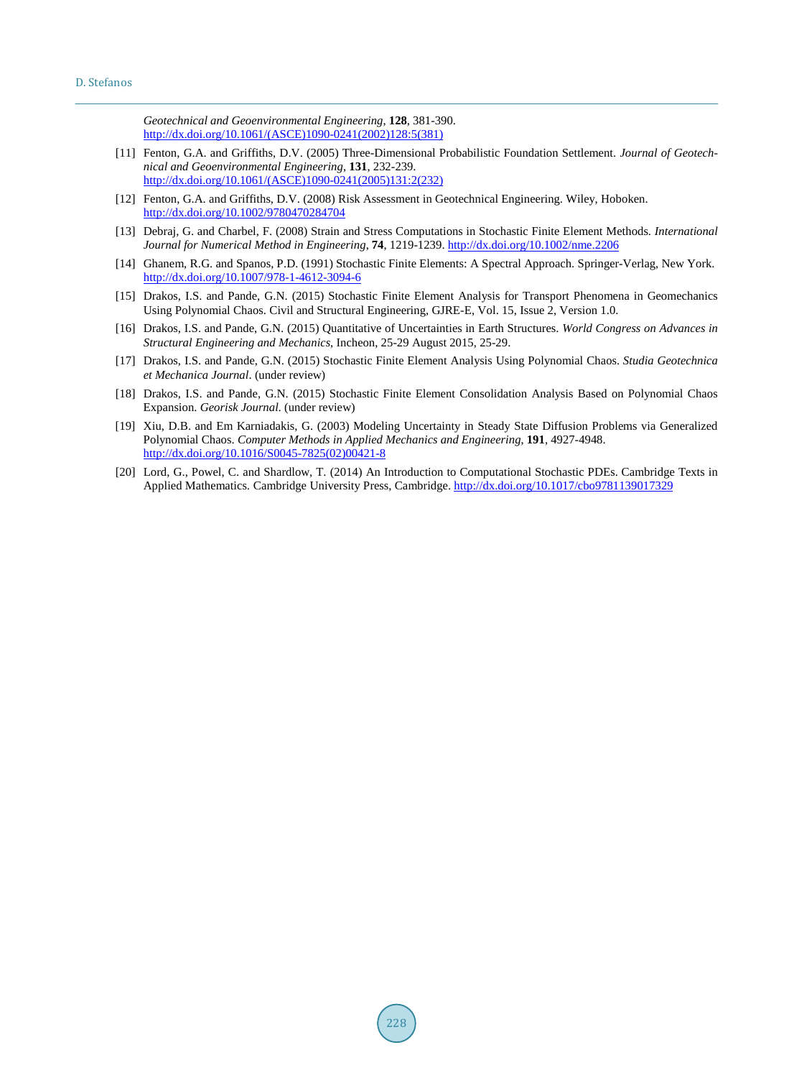*Geotechnical and Geoenvironmental Engineering*, **128**, 381-390. [http://dx.doi.org/10.1061/\(ASCE\)1090-0241\(2002\)128:5\(381\)](http://dx.doi.org/10.1061/(ASCE)1090-0241(2002)128:5(381))

- [11] Fenton, G.A. and Griffiths, D.V. (2005) Three-Dimensional Probabilistic Foundation Settlement. *Journal of Geotechnical and Geoenvironmental Engineering*, **131**, 232-239. [http://dx.doi.org/10.1061/\(ASCE\)1090-0241\(2005\)131:2\(232\)](http://dx.doi.org/10.1061/(ASCE)1090-0241(2005)131:2(232))
- <span id="page-6-0"></span>[12] Fenton, G.A. and Griffiths, D.V. (2008) Risk Assessment in Geotechnical Engineering. Wiley, Hoboken. <http://dx.doi.org/10.1002/9780470284704>
- <span id="page-6-1"></span>[13] Debraj, G. and Charbel, F. (2008) Strain and Stress Computations in Stochastic Finite Element Methods. *International Journal for Numerical Method in Engineering*, **74**, 1219-1239. <http://dx.doi.org/10.1002/nme.2206>
- <span id="page-6-2"></span>[14] Ghanem, R.G. and Spanos, P.D. (1991) Stochastic Finite Elements: A Spectral Approach. Springer-Verlag, New York. <http://dx.doi.org/10.1007/978-1-4612-3094-6>
- <span id="page-6-6"></span>[15] Drakos, I.S. and Pande, G.N. (2015) Stochastic Finite Element Analysis for Transport Phenomena in Geomechanics Using Polynomial Chaos. Civil and Structural Engineering, GJRE-E, Vol. 15, Issue 2, Version 1.0.
- <span id="page-6-7"></span>[16] Drakos, I.S. and Pande, G.N. (2015) Quantitative of Uncertainties in Earth Structures. *World Congress on Advances in Structural Engineering and Mechanics*, Incheon, 25-29 August 2015, 25-29.
- [17] Drakos, I.S. and Pande, G.N. (2015) Stochastic Finite Element Analysis Using Polynomial Chaos. *Studia Geotechnica et Mechanica Journal*. (under review)
- <span id="page-6-3"></span>[18] Drakos, I.S. and Pande, G.N. (2015) Stochastic Finite Element Consolidation Analysis Based on Polynomial Chaos Expansion. *Georisk Journal*. (under review)
- <span id="page-6-4"></span>[19] Xiu, D.B. and Em Karniadakis, G. (2003) Modeling Uncertainty in Steady State Diffusion Problems via Generalized Polynomial Chaos. *Computer Methods in Applied Mechanics and Engineering*, **191**, 4927-4948. [http://dx.doi.org/10.1016/S0045-7825\(02\)00421-8](http://dx.doi.org/10.1016/S0045-7825(02)00421-8)
- <span id="page-6-5"></span>[20] Lord, G., Powel, C. and Shardlow, T. (2014) An Introduction to Computational Stochastic PDEs. Cambridge Texts in Applied Mathematics. Cambridge University Press, Cambridge. <http://dx.doi.org/10.1017/cbo9781139017329>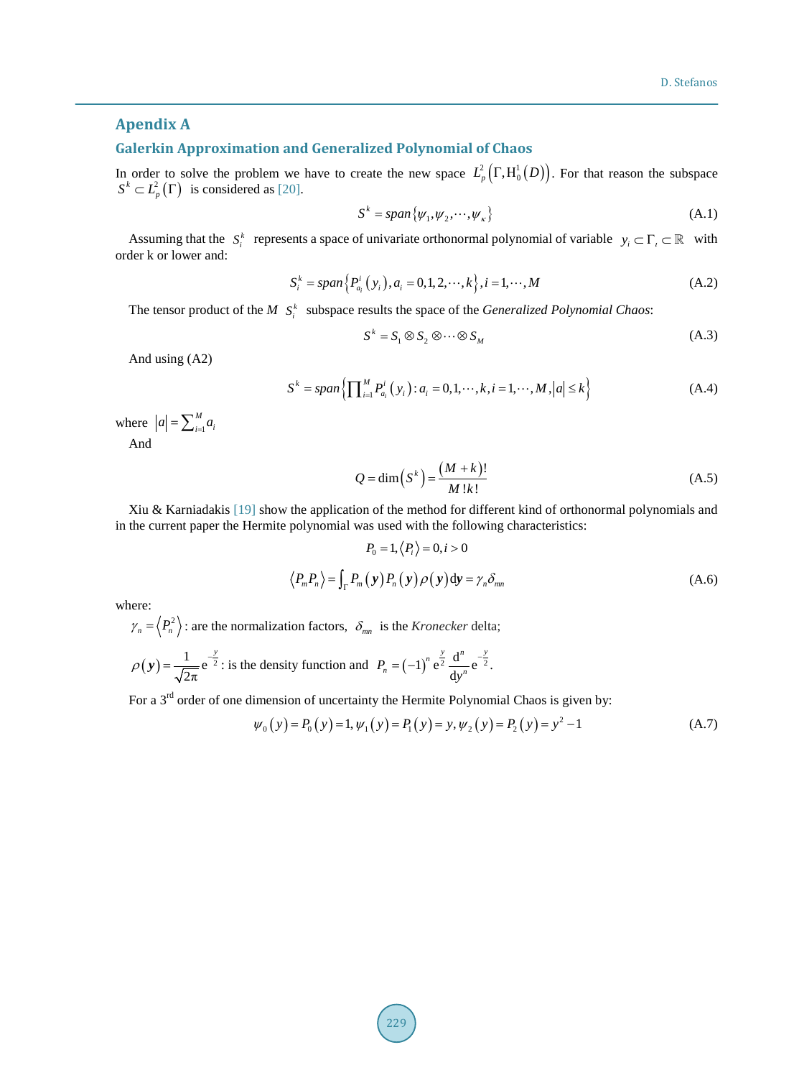## <span id="page-7-0"></span>**Apendix A**

## **Galerkin Approximation and Generalized Polynomial of Chaos**

In order to solve the problem we have to create the new space  $L^2_p(\Gamma, H_0^1(D))$ . For that reason the subspace  $S^k \subset L_p^2(\Gamma)$  is considered as [\[20\].](#page-6-5)

$$
S^k = span\{\psi_1, \psi_2, \cdots, \psi_\kappa\} \tag{A.1}
$$

Assuming that the  $S_i^k$  represents a space of univariate orthonormal polynomial of variable  $y_i \subset \Gamma_i \subset \mathbb{R}$  with order k or lower and:

$$
S_i^k = span\{P_{a_i}^i(y_i), a_i = 0, 1, 2, \cdots, k\}, i = 1, \cdots, M
$$
\n(A.2)

The tensor product of the  $M S_i^k$  subspace results the space of the *Generalized Polynomial Chaos*:

$$
S^k = S_1 \otimes S_2 \otimes \cdots \otimes S_M \tag{A.3}
$$

And using (A2)

$$
S^{k} = span \left\{ \prod_{i=1}^{M} P_{a_{i}}^{i} (y_{i}) : a_{i} = 0, 1, \cdots, k, i = 1, \cdots, M, |a| \le k \right\}
$$
 (A.4)

where  $|a| = \sum_{i=1}^{M} a_i$ 

And

$$
Q = \dim(S^k) = \frac{(M+k)!}{M!k!}
$$
 (A.5)

Xiu & Karniadakis [\[19\]](#page-6-4) show the application of the method for different kind of orthonormal polynomials and in the current paper the Hermite polynomial was used with the following characteristics:

$$
P_0 = 1, \langle P_i \rangle = 0, i > 0
$$
  

$$
\langle P_m P_n \rangle = \int_{\Gamma} P_m(\mathbf{y}) P_n(\mathbf{y}) \rho(\mathbf{y}) d\mathbf{y} = \gamma_n \delta_{mn}
$$
 (A.6)

where:

$$
\gamma_n = \langle P_n^2 \rangle
$$
: are the normalization factors,  $\delta_{mn}$  is the *Kronecker* delta;

$$
\rho(\mathbf{y}) = \frac{1}{\sqrt{2\pi}} e^{-\frac{y}{2}}
$$
: is the density function and  $P_n = (-1)^n e^{\frac{y}{2}} \frac{d^n}{dy^n} e^{-\frac{y}{2}}$ .

For a 3<sup>rd</sup> order of one dimension of uncertainty the Hermite Polynomial Chaos is given by:

$$
\psi_0(y) = P_0(y) = 1, \psi_1(y) = P_1(y) = y, \psi_2(y) = P_2(y) = y^2 - 1
$$
\n(A.7)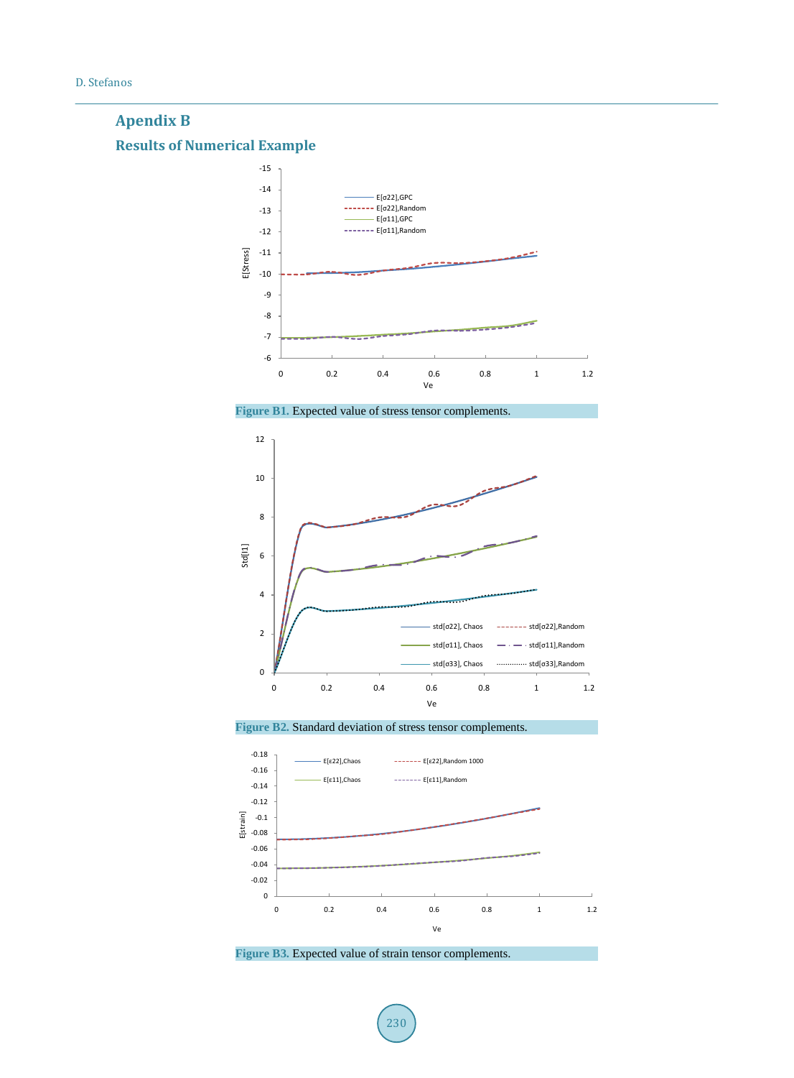## <span id="page-8-1"></span><span id="page-8-0"></span>**Apendix B Results of Numerical Example**







**Figure B2.** Standard deviation of stress tensor complements.



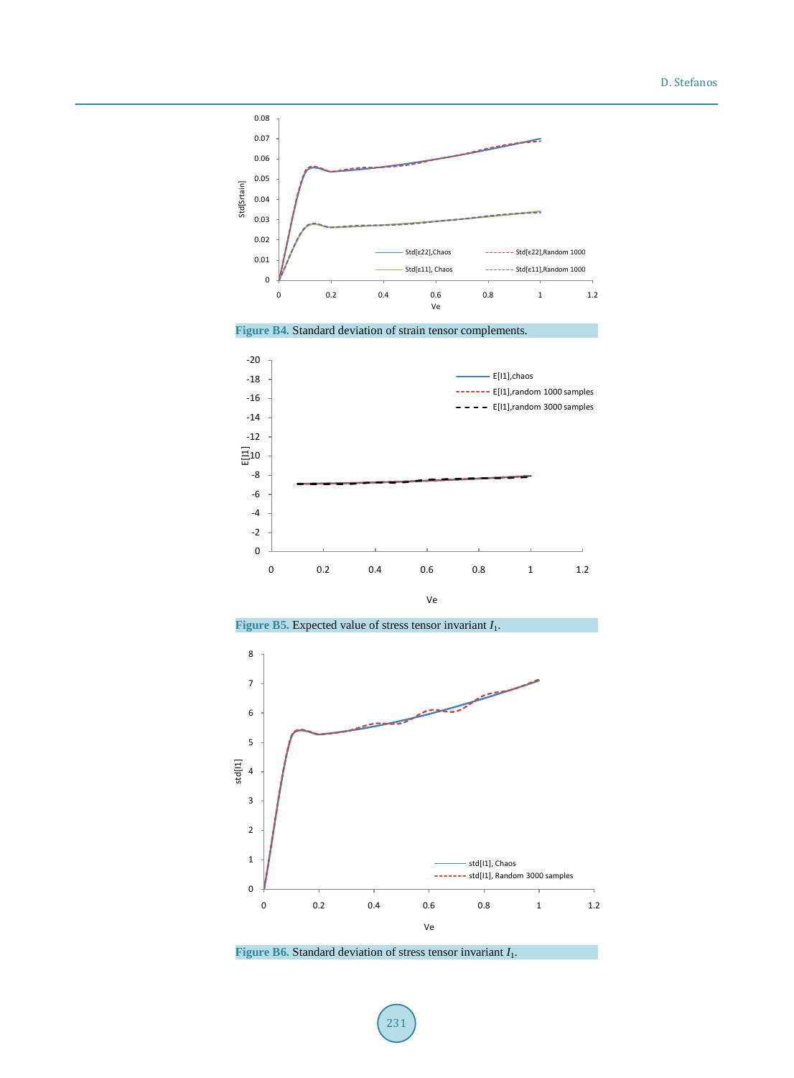









**Figure B6.** Standard deviation of stress tensor invariant *I*1.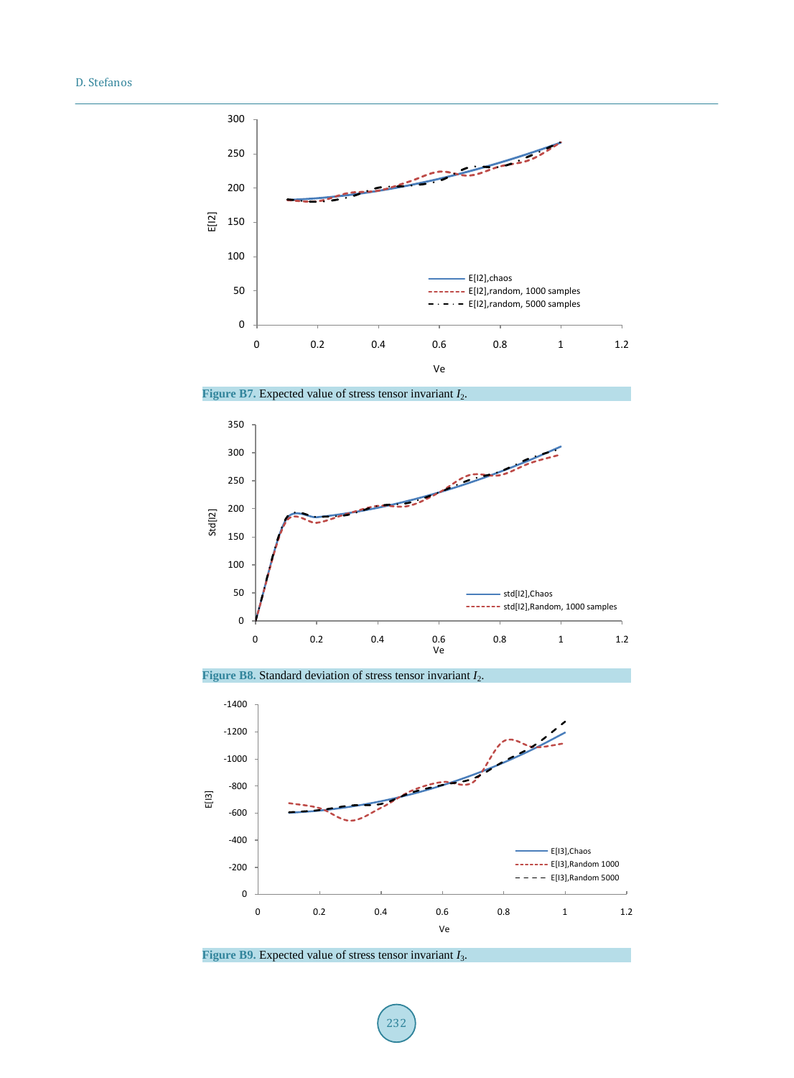

Figure B7. Expected value of stress tensor invariant *I*<sub>2</sub>.







**Figure B9.** Expected value of stress tensor invariant *I*3.